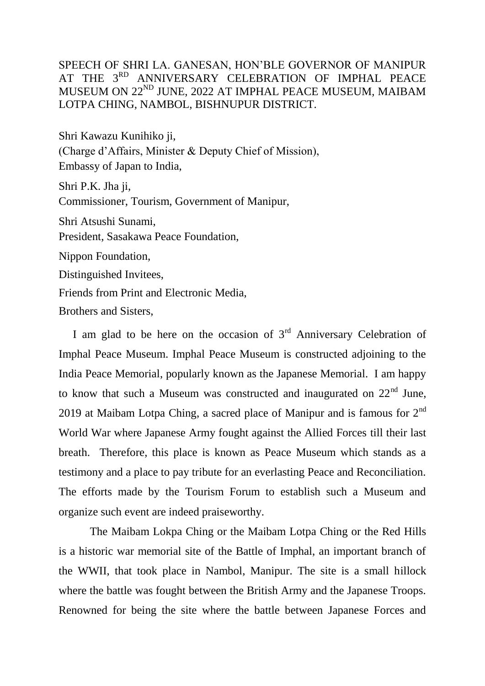## SPEECH OF SHRI LA. GANESAN, HON'BLE GOVERNOR OF MANIPUR AT THE 3<sup>RD</sup> ANNIVERSARY CELEBRATION OF IMPHAL PEACE MUSEUM ON 22ND JUNE, 2022 AT IMPHAL PEACE MUSEUM, MAIBAM LOTPA CHING, NAMBOL, BISHNUPUR DISTRICT.

Shri Kawazu Kunihiko ji, (Charge d'Affairs, Minister & Deputy Chief of Mission), Embassy of Japan to India,

Shri P.K. Jha ji, Commissioner, Tourism, Government of Manipur, Shri Atsushi Sunami, President, Sasakawa Peace Foundation, Nippon Foundation, Distinguished Invitees, Friends from Print and Electronic Media,

Brothers and Sisters,

I am glad to be here on the occasion of  $3<sup>rd</sup>$  Anniversary Celebration of Imphal Peace Museum. Imphal Peace Museum is constructed adjoining to the India Peace Memorial, popularly known as the Japanese Memorial. I am happy to know that such a Museum was constructed and inaugurated on  $22<sup>nd</sup>$  June, 2019 at Maibam Lotpa Ching, a sacred place of Manipur and is famous for  $2^{nd}$ World War where Japanese Army fought against the Allied Forces till their last breath. Therefore, this place is known as Peace Museum which stands as a testimony and a place to pay tribute for an everlasting Peace and Reconciliation. The efforts made by the Tourism Forum to establish such a Museum and organize such event are indeed praiseworthy.

 The Maibam Lokpa Ching or the Maibam Lotpa Ching or the Red Hills is a historic war memorial site of the Battle of Imphal, an important branch of the WWII, that took place in Nambol, Manipur. The site is a small hillock where the battle was fought between the British Army and the Japanese Troops. Renowned for being the site where the battle between Japanese Forces and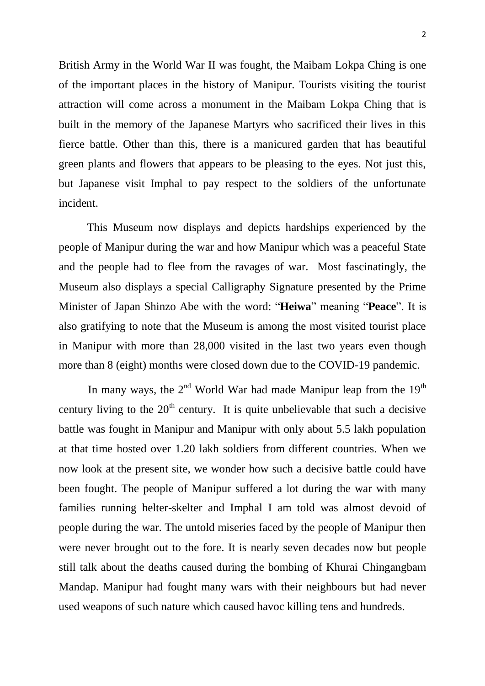British Army in the World War II was fought, the Maibam Lokpa Ching is one of the important places in the history of Manipur. Tourists visiting the tourist attraction will come across a monument in the Maibam Lokpa Ching that is built in the memory of the Japanese Martyrs who sacrificed their lives in this fierce battle. Other than this, there is a manicured garden that has beautiful green plants and flowers that appears to be pleasing to the eyes. Not just this, but Japanese visit Imphal to pay respect to the soldiers of the unfortunate incident.

 This Museum now displays and depicts hardships experienced by the people of Manipur during the war and how Manipur which was a peaceful State and the people had to flee from the ravages of war. Most fascinatingly, the Museum also displays a special Calligraphy Signature presented by the Prime Minister of Japan Shinzo Abe with the word: "**Heiwa**" meaning "**Peace**". It is also gratifying to note that the Museum is among the most visited tourist place in Manipur with more than 28,000 visited in the last two years even though more than 8 (eight) months were closed down due to the COVID-19 pandemic.

In many ways, the  $2<sup>nd</sup>$  World War had made Manipur leap from the  $19<sup>th</sup>$ century living to the  $20<sup>th</sup>$  century. It is quite unbelievable that such a decisive battle was fought in Manipur and Manipur with only about 5.5 lakh population at that time hosted over 1.20 lakh soldiers from different countries. When we now look at the present site, we wonder how such a decisive battle could have been fought. The people of Manipur suffered a lot during the war with many families running helter-skelter and Imphal I am told was almost devoid of people during the war. The untold miseries faced by the people of Manipur then were never brought out to the fore. It is nearly seven decades now but people still talk about the deaths caused during the bombing of Khurai Chingangbam Mandap. Manipur had fought many wars with their neighbours but had never used weapons of such nature which caused havoc killing tens and hundreds.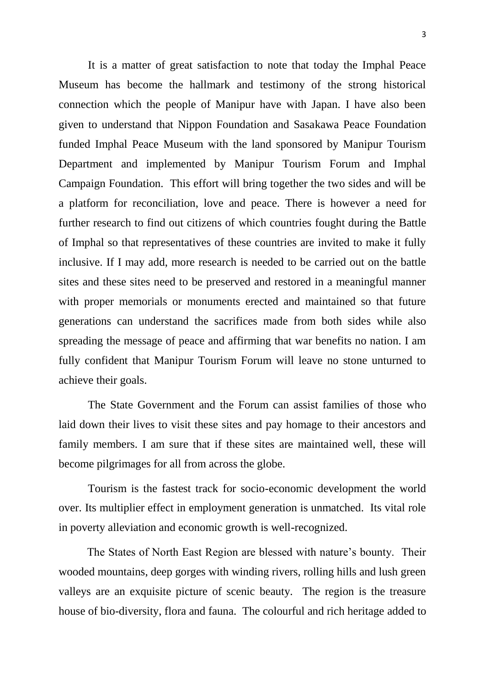It is a matter of great satisfaction to note that today the Imphal Peace Museum has become the hallmark and testimony of the strong historical connection which the people of Manipur have with Japan. I have also been given to understand that Nippon Foundation and Sasakawa Peace Foundation funded Imphal Peace Museum with the land sponsored by Manipur Tourism Department and implemented by Manipur Tourism Forum and Imphal Campaign Foundation. This effort will bring together the two sides and will be a platform for reconciliation, love and peace. There is however a need for further research to find out citizens of which countries fought during the Battle of Imphal so that representatives of these countries are invited to make it fully inclusive. If I may add, more research is needed to be carried out on the battle sites and these sites need to be preserved and restored in a meaningful manner with proper memorials or monuments erected and maintained so that future generations can understand the sacrifices made from both sides while also spreading the message of peace and affirming that war benefits no nation. I am fully confident that Manipur Tourism Forum will leave no stone unturned to achieve their goals.

The State Government and the Forum can assist families of those who laid down their lives to visit these sites and pay homage to their ancestors and family members. I am sure that if these sites are maintained well, these will become pilgrimages for all from across the globe.

Tourism is the fastest track for socio-economic development the world over. Its multiplier effect in employment generation is unmatched. Its vital role in poverty alleviation and economic growth is well-recognized.

 The States of North East Region are blessed with nature's bounty. Their wooded mountains, deep gorges with winding rivers, rolling hills and lush green valleys are an exquisite picture of scenic beauty. The region is the treasure house of bio-diversity, flora and fauna. The colourful and rich heritage added to